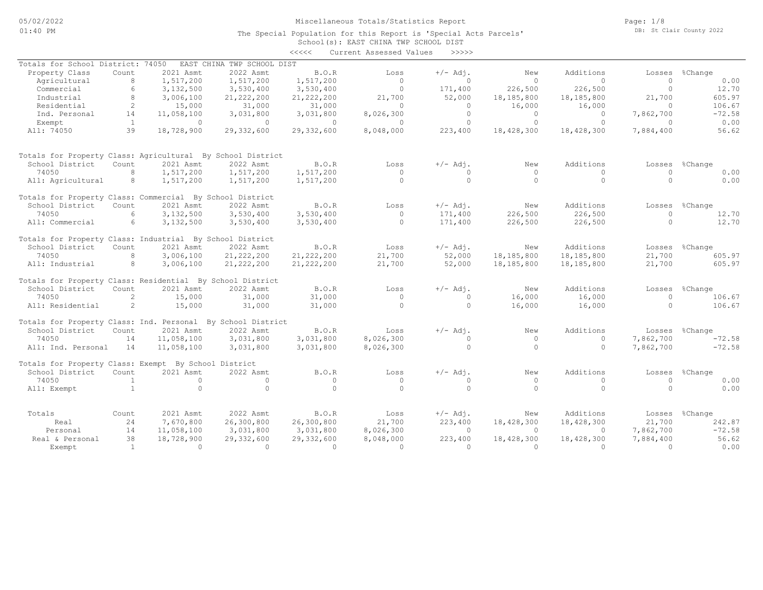Page: 1/8 DB: St Clair County 2022

### School(s): EAST CHINA TWP SCHOOL DIST The Special Population for this Report is 'Special Acts Parcels'

|                                                             |                 |                          |                            | <<<<                    | Current Assessed Values | >>>>>                  |                        |                       |                        |                      |
|-------------------------------------------------------------|-----------------|--------------------------|----------------------------|-------------------------|-------------------------|------------------------|------------------------|-----------------------|------------------------|----------------------|
| Totals for School District: 74050                           |                 |                          | EAST CHINA TWP SCHOOL DIST |                         |                         |                        |                        |                       |                        |                      |
| Property Class                                              | Count           | 2021 Asmt                | 2022 Asmt                  | B.O.R                   | Loss                    | $+/-$ Adj.             | New                    | Additions             | Losses                 | %Change              |
| Agricultural                                                | 8               | 1,517,200                | 1,517,200                  | 1,517,200               | $\Omega$                | $\Omega$               | $\Omega$               | $\Omega$              | $\circ$                | 0.00                 |
| Commercial                                                  | 6               | 3,132,500                | 3,530,400                  | 3,530,400               | $\circ$                 | 171,400                | 226,500                | 226,500               | $\circ$                | 12.70                |
| Industrial                                                  | 8               | 3,006,100                | 21, 222, 200               | 21, 222, 200            | 21,700                  | 52,000                 | 18,185,800             | 18,185,800            | 21,700                 | 605.97               |
| Residential                                                 | $\mathbf{2}$    | 15,000                   | 31,000                     | 31,000                  | $\Omega$                | $\circ$                | 16,000                 | 16,000                | $\Omega$               | 106.67               |
| Ind. Personal                                               | 14              | 11,058,100               | 3,031,800                  | 3,031,800               | 8,026,300               | $\circ$                | $\circ$                | $\circ$               | 7,862,700              | $-72.58$             |
| Exempt                                                      | <sup>1</sup>    | $\circ$                  | $\Omega$                   | $\circ$                 | $\Omega$                | $\circ$                | $\circ$                | $\Omega$              | $\Omega$               | 0.00                 |
| All: 74050                                                  | 39              | 18,728,900               | 29,332,600                 | 29,332,600              | 8,048,000               | 223,400                | 18,428,300             | 18,428,300            | 7,884,400              | 56.62                |
| Totals for Property Class: Agricultural By School District  |                 |                          |                            |                         |                         |                        |                        |                       |                        |                      |
| School District                                             | Count           | 2021 Asmt                | 2022 Asmt                  | B.O.R                   | Loss                    | $+/-$ Adj.             | New                    | Additions             | Losses                 | %Change              |
| 74050                                                       | 8               | 1,517,200                | 1,517,200                  | 1,517,200               | $\Omega$                | $\Omega$               | $\Omega$               | $\Omega$              | $\Omega$               | 0.00                 |
| All: Agricultural                                           | 8               | 1,517,200                | 1,517,200                  | 1,517,200               | $\Omega$                | $\circ$                | $\Omega$               | $\circ$               | $\Omega$               | 0.00                 |
| Totals for Property Class: Commercial By School District    |                 |                          |                            |                         |                         |                        |                        |                       |                        |                      |
| School District                                             | Count           | 2021 Asmt                | 2022 Asmt                  | B.O.R                   | Loss                    | $+/-$ Adj.             | New                    | Additions             |                        | Losses %Change       |
| 74050                                                       | $6\overline{6}$ | 3,132,500                | 3,530,400                  | 3,530,400               | $\Omega$                | 171,400                | 226,500                | 226,500               | $\Omega$               | 12.70                |
| All: Commercial                                             | 6               | 3,132,500                | 3,530,400                  | 3,530,400               | $\circ$                 | 171,400                | 226,500                | 226,500               | $\Omega$               | 12.70                |
| Totals for Property Class: Industrial By School District    |                 |                          |                            |                         |                         |                        |                        |                       |                        |                      |
| School District                                             | Count           | 2021 Asmt                | 2022 Asmt                  | B.O.R                   | Loss                    | $+/-$ Adj.             | New                    | Additions             | Losses                 | %Change              |
| 74050                                                       | 8               | 3,006,100                | 21, 222, 200               | 21, 222, 200            | 21,700                  | 52,000                 | 18,185,800             | 18,185,800            | 21,700                 | 605.97               |
| All: Industrial                                             | 8               | 3,006,100                | 21, 222, 200               | 21, 222, 200            | 21,700                  | 52,000                 | 18,185,800             | 18,185,800            | 21,700                 | 605.97               |
| Totals for Property Class: Residential By School District   |                 |                          |                            |                         |                         |                        |                        |                       |                        |                      |
| School District                                             | Count           | 2021 Asmt                | 2022 Asmt                  | B.O.R                   | Loss                    | $+/-$ Adj.             | New                    | Additions             | Losses                 | %Change              |
| 74050                                                       | $\mathbf{2}$    | 15,000                   | 31,000                     | 31,000                  | $\Omega$                | $\Omega$               | 16,000                 | 16,000                | $\Omega$               | 106.67               |
| All: Residential                                            | 2               | 15,000                   | 31,000                     | 31,000                  | $\Omega$                | $\circ$                | 16,000                 | 16,000                | $\Omega$               | 106.67               |
| Totals for Property Class: Ind. Personal By School District |                 |                          | 2022 Asmt                  |                         |                         |                        |                        | Additions             |                        |                      |
| School District                                             | Count           | 2021 Asmt                |                            | B.O.R                   | Loss                    | $+/-$ Adj.<br>$\Omega$ | New                    | $\Omega$              |                        | Losses %Change       |
| 74050<br>All: Ind. Personal                                 | 14<br>14        | 11,058,100<br>11,058,100 | 3,031,800<br>3,031,800     | 3,031,800<br>3,031,800  | 8,026,300<br>8,026,300  | $\Omega$               | $\circ$<br>$\Omega$    | $\Omega$              | 7,862,700<br>7,862,700 | $-72.58$<br>$-72.58$ |
| Totals for Property Class: Exempt By School District        |                 |                          |                            |                         |                         |                        |                        |                       |                        |                      |
| School District                                             | Count           | 2021 Asmt                | 2022 Asmt                  | B.O.R                   | Loss                    | $+/-$ Adj.             | New                    | Additions             | Losses                 | %Change              |
| 74050                                                       | $\overline{1}$  | $\circ$                  | $\circ$                    | $\circ$                 | $\circ$                 | $\circ$                | $\circ$                | $\circ$               | $\Omega$               | 0.00                 |
| All: Exempt                                                 | $\overline{1}$  | $\Omega$                 | $\Omega$                   | $\Omega$                | $\Omega$                | $\Omega$               | $\cap$                 | $\Omega$              | $\Omega$               | 0.00                 |
| Totals                                                      | Count           | 2021 Asmt                | 2022 Asmt                  | B.O.R                   | Loss                    | $+/-$ Adj.             | New                    | Additions             | Losses                 | %Change              |
|                                                             | 24              | 7,670,800                | 26,300,800                 |                         |                         |                        |                        |                       | 21,700                 | 242.87               |
| Real<br>Personal                                            | 14              | 11,058,100               | 3,031,800                  | 26,300,800<br>3,031,800 | 21,700<br>8,026,300     | 223,400<br>$\circ$     | 18,428,300<br>$\Omega$ | 18,428,300<br>$\circ$ | 7,862,700              | $-72.58$             |
| Real & Personal                                             | 38              | 18,728,900               | 29,332,600                 | 29,332,600              | 8,048,000               | 223,400                | 18,428,300             | 18,428,300            | 7,884,400              | 56.62                |
|                                                             | $\overline{1}$  | $\Omega$                 | $\Omega$                   | $\Omega$                | $\Omega$                | $\Omega$               | $\cap$                 | $\Omega$              | $\cap$                 | 0.00                 |
| Exempt                                                      |                 |                          |                            |                         |                         |                        |                        |                       |                        |                      |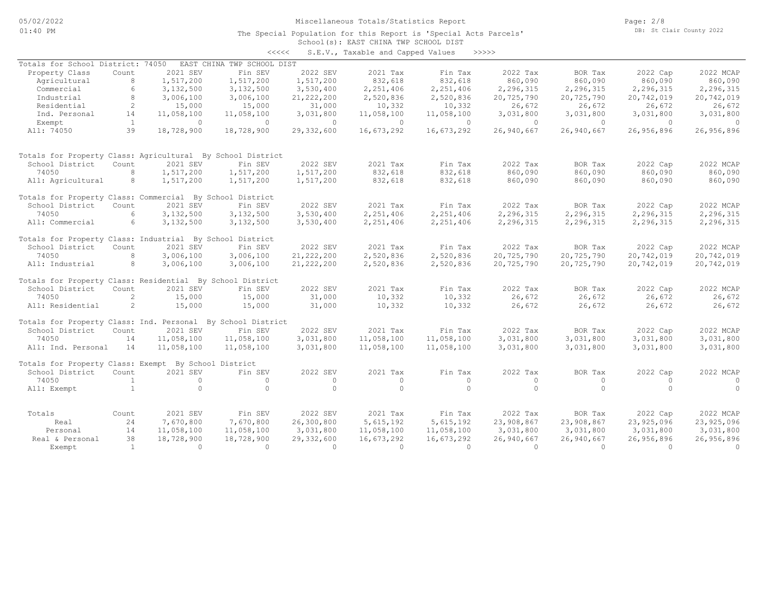Page: 2/8 DB: St Clair County 2022

#### School(s): EAST CHINA TWP SCHOOL DIST The Special Population for this Report is 'Special Acts Parcels'

|                                                             |                |                | $\prec\prec\prec\prec\prec$ |              | S.E.V., Taxable and Capped Values |            | >>>>>      |            |            |            |
|-------------------------------------------------------------|----------------|----------------|-----------------------------|--------------|-----------------------------------|------------|------------|------------|------------|------------|
| Totals for School District: 74050                           |                |                | EAST CHINA TWP SCHOOL DIST  |              |                                   |            |            |            |            |            |
| Property Class                                              | Count          | 2021 SEV       | Fin SEV                     | 2022 SEV     | 2021 Tax                          | Fin Tax    | 2022 Tax   | BOR Tax    | 2022 Cap   | 2022 MCAP  |
| Agricultural                                                | 8              | 1,517,200      | 1,517,200                   | 1,517,200    | 832,618                           | 832,618    | 860,090    | 860,090    | 860,090    | 860,090    |
| Commercial                                                  | 6              | 3,132,500      | 3,132,500                   | 3,530,400    | 2,251,406                         | 2,251,406  | 2,296,315  | 2,296,315  | 2,296,315  | 2,296,315  |
| Industrial                                                  | 8              | 3,006,100      | 3,006,100                   | 21, 222, 200 | 2,520,836                         | 2,520,836  | 20,725,790 | 20,725,790 | 20,742,019 | 20,742,019 |
| Residential                                                 | 2              | 15,000         | 15,000                      | 31,000       | 10,332                            | 10,332     | 26,672     | 26,672     | 26,672     | 26,672     |
| Ind. Personal                                               | 14             | 11,058,100     | 11,058,100                  | 3,031,800    | 11,058,100                        | 11,058,100 | 3,031,800  | 3,031,800  | 3,031,800  | 3,031,800  |
| Exempt                                                      | $\mathbf{1}$   | $\overline{0}$ | $\cap$                      | $\Omega$     | $\Omega$                          | $\Omega$   | $\Omega$   | $\Omega$   | $\Omega$   | $\bigcirc$ |
| All: 74050                                                  | 39             | 18,728,900     | 18,728,900                  | 29,332,600   | 16,673,292                        | 16,673,292 | 26,940,667 | 26,940,667 | 26,956,896 | 26,956,896 |
|                                                             |                |                |                             |              |                                   |            |            |            |            |            |
| Totals for Property Class: Agricultural By School District  |                |                |                             |              |                                   |            |            |            |            |            |
| School District                                             | Count          | 2021 SEV       | Fin SEV                     | 2022 SEV     | 2021 Tax                          | Fin Tax    | 2022 Tax   | BOR Tax    | 2022 Cap   | 2022 MCAP  |
| 74050                                                       | 8              | 1,517,200      | 1,517,200                   | 1,517,200    | 832,618                           | 832,618    | 860,090    | 860,090    | 860,090    | 860,090    |
| All: Agricultural                                           | 8              | 1,517,200      | 1,517,200                   | 1,517,200    | 832,618                           | 832,618    | 860,090    | 860,090    | 860,090    | 860,090    |
|                                                             |                |                |                             |              |                                   |            |            |            |            |            |
| Totals for Property Class: Commercial By School District    |                |                |                             |              |                                   |            |            |            |            |            |
| School District                                             | Count          | 2021 SEV       | Fin SEV                     | 2022 SEV     | 2021 Tax                          | Fin Tax    | 2022 Tax   | BOR Tax    | 2022 Cap   | 2022 MCAP  |
| 74050                                                       | 6              | 3,132,500      | 3,132,500                   | 3,530,400    | 2,251,406                         | 2,251,406  | 2,296,315  | 2,296,315  | 2,296,315  | 2,296,315  |
| All: Commercial                                             | 6              | 3,132,500      | 3,132,500                   | 3,530,400    | 2,251,406                         | 2,251,406  | 2,296,315  | 2,296,315  | 2,296,315  | 2,296,315  |
|                                                             |                |                |                             |              |                                   |            |            |            |            |            |
| Totals for Property Class: Industrial By School District    |                |                |                             |              |                                   |            |            |            |            |            |
| School District                                             | Count          | 2021 SEV       | Fin SEV                     | 2022 SEV     | 2021 Tax                          | Fin Tax    | 2022 Tax   | BOR Tax    | 2022 Cap   | 2022 MCAP  |
| 74050                                                       | 8              | 3,006,100      | 3,006,100                   | 21, 222, 200 | 2,520,836                         | 2,520,836  | 20,725,790 | 20,725,790 | 20,742,019 | 20,742,019 |
| All: Industrial                                             | 8              | 3,006,100      | 3,006,100                   | 21, 222, 200 | 2,520,836                         | 2,520,836  | 20,725,790 | 20,725,790 | 20,742,019 | 20,742,019 |
| Totals for Property Class: Residential By School District   |                |                |                             |              |                                   |            |            |            |            |            |
| School District                                             | Count          | 2021 SEV       | Fin SEV                     | 2022 SEV     | 2021 Tax                          | Fin Tax    | 2022 Tax   | BOR Tax    | 2022 Cap   | 2022 MCAP  |
| 74050                                                       | $\mathfrak{D}$ | 15,000         | 15,000                      | 31,000       | 10,332                            | 10,332     | 26,672     | 26,672     | 26,672     | 26,672     |
| All: Residential                                            | 2              | 15,000         | 15,000                      | 31,000       | 10,332                            | 10,332     | 26,672     | 26,672     | 26,672     | 26,672     |
|                                                             |                |                |                             |              |                                   |            |            |            |            |            |
| Totals for Property Class: Ind. Personal By School District |                |                |                             |              |                                   |            |            |            |            |            |
| School District                                             | Count          | 2021 SEV       | Fin SEV                     | 2022 SEV     | 2021 Tax                          | Fin Tax    | 2022 Tax   | BOR Tax    | 2022 Cap   | 2022 MCAP  |
| 74050                                                       | 14             | 11,058,100     | 11,058,100                  | 3,031,800    | 11,058,100                        | 11,058,100 | 3,031,800  | 3,031,800  | 3,031,800  | 3,031,800  |
| All: Ind. Personal                                          | 14             | 11,058,100     | 11,058,100                  | 3,031,800    | 11,058,100                        | 11,058,100 | 3,031,800  | 3,031,800  | 3,031,800  | 3,031,800  |
| Totals for Property Class: Exempt By School District        |                |                |                             |              |                                   |            |            |            |            |            |
| School District                                             | Count          | 2021 SEV       | Fin SEV                     | 2022 SEV     | 2021 Tax                          | Fin Tax    | 2022 Tax   | BOR Tax    | 2022 Cap   | 2022 MCAP  |
| 74050                                                       | 1              | $\circ$        | $\Omega$                    | $\circ$      | $\circ$                           | $\circ$    | $\Omega$   | $\circ$    | $\Omega$   | $\circ$    |
| All: Exempt                                                 | $\overline{1}$ | $\Omega$       | $\Omega$                    | $\Omega$     | $\Omega$                          | $\Omega$   | $\Omega$   | $\Omega$   | $\Omega$   | $\Omega$   |
|                                                             |                |                |                             |              |                                   |            |            |            |            |            |
| Totals                                                      | Count          | 2021 SEV       | Fin SEV                     | 2022 SEV     | 2021 Tax                          | Fin Tax    | 2022 Tax   | BOR Tax    | 2022 Cap   | 2022 MCAP  |
| Real                                                        | 24             | 7,670,800      | 7,670,800                   | 26,300,800   | 5,615,192                         | 5,615,192  | 23,908,867 | 23,908,867 | 23,925,096 | 23,925,096 |
| Personal                                                    | 14             | 11,058,100     | 11,058,100                  | 3,031,800    | 11,058,100                        | 11,058,100 | 3,031,800  | 3,031,800  | 3,031,800  | 3,031,800  |
| Real & Personal                                             | 38             | 18,728,900     | 18,728,900                  | 29,332,600   | 16,673,292                        | 16,673,292 | 26,940,667 | 26,940,667 | 26,956,896 | 26,956,896 |
| Exempt                                                      | <sup>1</sup>   | $\Omega$       | $\Omega$                    | $\Omega$     | $\Omega$                          | $\Omega$   | $\Omega$   | $\Omega$   | $\Omega$   | $\Omega$   |
|                                                             |                |                |                             |              |                                   |            |            |            |            |            |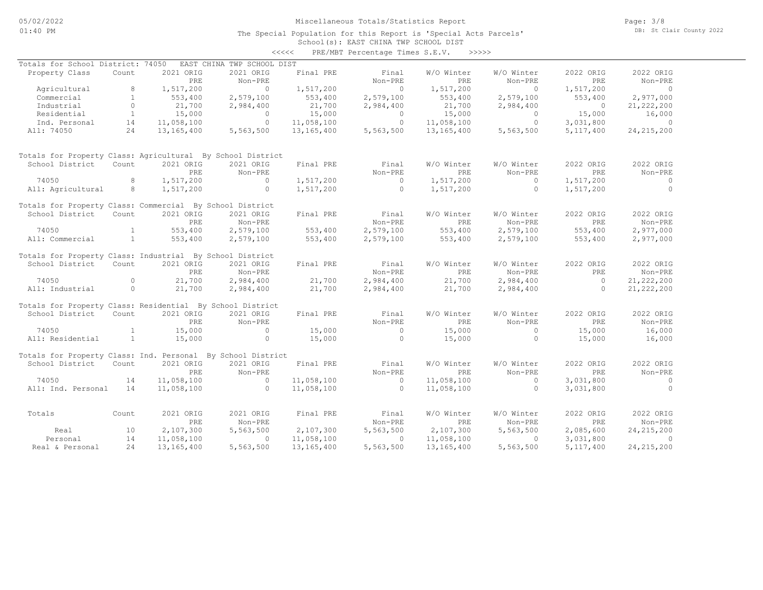## School(s): EAST CHINA TWP SCHOOL DIST <<<<< PRE/MBT Percentage Times S.E.V. >>>>>

| Totals for School District: 74050                           |                |              | EAST CHINA TWP SCHOOL DIST |              |                |              |                |                |                |
|-------------------------------------------------------------|----------------|--------------|----------------------------|--------------|----------------|--------------|----------------|----------------|----------------|
| Property Class                                              | Count          | 2021 ORIG    | 2021 ORIG                  | Final PRE    | Final          | W/O Winter   | W/O Winter     | 2022 ORIG      | 2022 ORIG      |
|                                                             |                | PRE          | Non-PRE                    |              | Non-PRE        | PRE          | Non-PRE        | PRE            | Non-PRE        |
| Agricultural                                                | 8              | 1,517,200    | $\Omega$                   | 1,517,200    | $\overline{0}$ | 1,517,200    | $\overline{0}$ | 1,517,200      | $\overline{0}$ |
| Commercial                                                  | $\mathbf{1}$   | 553,400      | 2,579,100                  | 553,400      | 2,579,100      | 553,400      | 2,579,100      | 553,400        | 2,977,000      |
| Industrial                                                  | $\Omega$       | 21,700       | 2,984,400                  | 21,700       | 2,984,400      | 21,700       | 2,984,400      | $\Omega$       | 21, 222, 200   |
| Residential                                                 | $\mathbf{1}$   | 15,000       | $\overline{0}$             | 15,000       | $\overline{0}$ | 15,000       | $\overline{0}$ | 15,000         | 16,000         |
| Ind. Personal                                               | 14             | 11,058,100   | $\circ$                    | 11,058,100   | $\circ$        | 11,058,100   | $\circ$        | 3,031,800      | $\sim$ 0       |
| All: 74050                                                  | 24             | 13, 165, 400 | 5,563,500                  | 13,165,400   | 5,563,500      | 13,165,400   | 5,563,500      | 5, 117, 400    | 24, 215, 200   |
| Totals for Property Class: Agricultural By School District  |                |              |                            |              |                |              |                |                |                |
| School District                                             | Count          | 2021 ORIG    | 2021 ORIG                  | Final PRE    | Final          | W/O Winter   | W/O Winter     | 2022 ORIG      | 2022 ORIG      |
|                                                             |                | PRE          | Non-PRE                    |              | Non-PRE        | PRE          | Non-PRE        | PRE            | Non-PRE        |
| 74050                                                       | 8              | 1,517,200    | $\Omega$                   | 1,517,200    | $\Omega$       | 1,517,200    | $\Omega$       | 1,517,200      | $\Omega$       |
| All: Agricultural                                           | 8              | 1,517,200    | $\circ$                    | 1,517,200    | $\overline{0}$ | 1,517,200    | $\circ$        | 1,517,200      | $\Omega$       |
| Totals for Property Class: Commercial By School District    |                |              |                            |              |                |              |                |                |                |
| School District                                             | Count          | 2021 ORIG    | 2021 ORIG                  | Final PRE    | Final          | W/O Winter   | W/O Winter     | 2022 ORIG      | 2022 ORIG      |
|                                                             |                | <b>PRE</b>   | Non-PRE                    |              | Non-PRE        | PRE          | Non-PRE        | PRE            | Non-PRE        |
| 74050                                                       | $\overline{1}$ | 553,400      | 2,579,100                  | 553,400      | 2,579,100      | 553,400      | 2,579,100      | 553,400        | 2,977,000      |
| All: Commercial                                             | $\mathbf{1}$   | 553,400      | 2,579,100                  | 553,400      | 2,579,100      | 553,400      | 2,579,100      | 553,400        | 2,977,000      |
|                                                             |                |              |                            |              |                |              |                |                |                |
| Totals for Property Class: Industrial By School District    |                |              |                            |              |                |              |                |                |                |
| School District                                             | Count          | 2021 ORIG    | 2021 ORIG                  | Final PRE    | Final          | W/O Winter   | W/O Winter     | 2022 ORIG      | 2022 ORIG      |
|                                                             |                | <b>PRE</b>   | Non-PRE                    |              | Non-PRE        | <b>PRE</b>   | Non-PRE        | PRE            | Non-PRE        |
| 74050                                                       | $\Omega$       | 21,700       | 2,984,400                  | 21,700       | 2,984,400      | 21,700       | 2,984,400      | $\overline{0}$ | 21, 222, 200   |
| All: Industrial                                             | $\circ$        | 21,700       | 2,984,400                  | 21,700       | 2,984,400      | 21,700       | 2,984,400      | $\Omega$       | 21, 222, 200   |
| Totals for Property Class: Residential By School District   |                |              |                            |              |                |              |                |                |                |
| School District                                             | Count          | 2021 ORIG    | 2021 ORIG                  | Final PRE    | Final          | W/O Winter   | W/O Winter     | 2022 ORIG      | 2022 ORIG      |
|                                                             |                | PRE          | Non-PRE                    |              | Non-PRE        | <b>PRE</b>   | Non-PRE        | PRE            | Non-PRE        |
| 74050                                                       | $\mathbf{1}$   | 15,000       | $\Omega$                   | 15,000       | $\overline{0}$ | 15,000       | $\Omega$       | 15,000         | 16,000         |
| All: Residential                                            | $\sim$ 1       | 15,000       | $\Omega$                   | 15,000       | $\Omega$       | 15,000       | $\Omega$       | 15,000         | 16,000         |
| Totals for Property Class: Ind. Personal By School District |                |              |                            |              |                |              |                |                |                |
| School District                                             | Count          | 2021 ORIG    | 2021 ORIG                  | Final PRE    | Final          | W/O Winter   | W/O Winter     | 2022 ORIG      | 2022 ORIG      |
|                                                             |                | PRE          |                            |              | Non-PRE        | PRE          |                | PRE            |                |
|                                                             |                |              | Non-PRE                    |              |                |              | Non-PRE        |                | Non-PRE        |
| 74050                                                       | 14             | 11,058,100   | $\circ$                    | 11,058,100   | $\circ$        | 11,058,100   | $\Omega$       | 3,031,800      | $\circ$        |
| All: Ind. Personal                                          | 14             | 11,058,100   | $\Omega$                   | 11,058,100   | $\overline{0}$ | 11,058,100   | $\Omega$       | 3,031,800      | $\Omega$       |
| Totals                                                      | Count          | 2021 ORIG    | 2021 ORIG                  | Final PRE    | Final          | W/O Winter   | W/O Winter     | 2022 ORIG      | 2022 ORIG      |
|                                                             |                | PRE          | Non-PRE                    |              | Non-PRE        | PRE          | Non-PRE        | PRE            | Non-PRE        |
| Real                                                        | 10             | 2,107,300    | 5,563,500                  | 2,107,300    | 5,563,500      | 2,107,300    | 5,563,500      | 2,085,600      | 24, 215, 200   |
| Personal                                                    | 14             | 11,058,100   | $\Omega$                   | 11,058,100   | $\Omega$       | 11,058,100   | $\Omega$       | 3,031,800      | $\Omega$       |
| Real & Personal                                             | 24             | 13, 165, 400 | 5,563,500                  | 13, 165, 400 | 5,563,500      | 13, 165, 400 | 5,563,500      | 5, 117, 400    | 24, 215, 200   |
|                                                             |                |              |                            |              |                |              |                |                |                |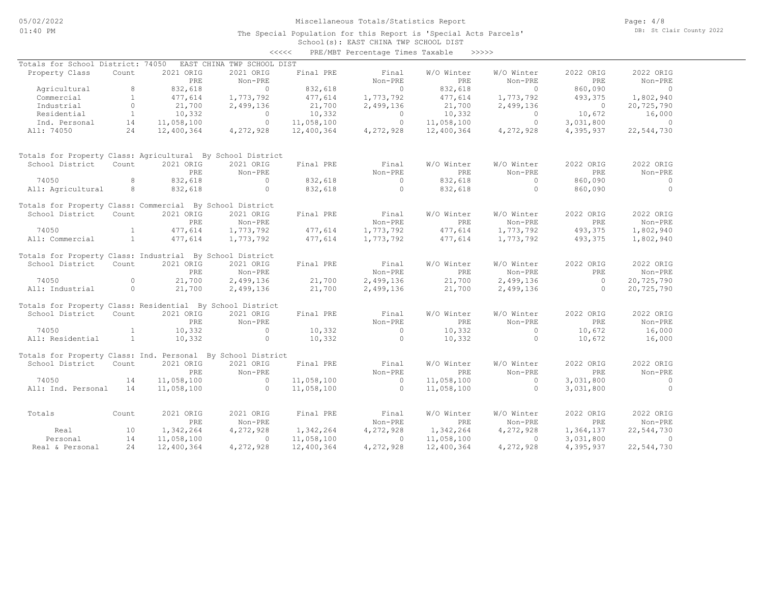### School(s): EAST CHINA TWP SCHOOL DIST The Special Population for this Report is 'Special Acts Parcels'

| EAST CHINA TWP SCHOOL DIST<br>Totals for School District: 74050<br>2021 ORIG<br>2021 ORIG<br>Final PRE<br>Final<br>W/O Winter<br>W/O Winter<br>2022 ORIG<br>2022 ORIG<br>Property Class<br>Count<br>Non-PRE<br>PRE<br>Non-PRE<br>PRE<br>Non-PRE<br>PRE<br>Non-PRE<br>8<br>832,618<br>$\Omega$<br>832,618<br>$\Omega$<br>832,618<br>$\circ$<br>860,090<br>Agricultural<br>$\bigcirc$<br>$\mathbf{1}$<br>Commercial<br>1,773,792<br>1,773,792<br>493,375<br>1,802,940<br>477,614<br>1,773,792<br>477,614<br>477,614<br>$\circ$<br>Industrial<br>21,700<br>2,499,136<br>21,700<br>2,499,136<br>21,700<br>2,499,136<br>$\overline{0}$<br>20,725,790<br>Residential<br>$\mathbf{1}$<br>10,332<br>10,332<br>10,332<br>10,672<br>16,000<br>$\Omega$<br>$\circ$<br>$\circ$<br>$\circ$<br>$\circ$<br>$\circ$<br>3,031,800<br>Ind. Personal<br>14<br>11,058,100<br>11,058,100<br>11,058,100<br>$\overline{0}$<br>24<br>All: 74050<br>12,400,364<br>4,272,928<br>12,400,364<br>4,272,928<br>12,400,364<br>4,272,928<br>4,395,937<br>22,544,730<br>Totals for Property Class: Agricultural By School District<br>School District<br>Count<br>2021 ORIG<br>2021 ORIG<br>Final PRE<br>Final<br>W/O Winter<br>W/O Winter<br>2022 ORIG<br>2022 ORIG<br>Non-PRE<br>Non-PRE<br>PRE<br>Non-PRE<br><b>PRE</b><br>$Non-PRE$<br>PRE<br>8<br>832,618<br>$\Omega$<br>832,618<br>$\Omega$<br>74050<br>832,618<br>$\Omega$<br>860,090<br>$\circ$<br>$\circ$<br>$\circ$<br>$\circ$<br>$\circ$<br>All: Agricultural<br>8<br>832,618<br>832,618<br>832,618<br>860,090<br>Totals for Property Class: Commercial By School District<br>2021 ORIG<br>2021 ORIG<br>Final PRE<br>Final<br>W/O Winter<br>2022 ORIG<br>2022 ORIG<br>School District<br>Count<br>W/O Winter<br>PRE<br>Non-PRE<br>Non-PRE<br>PRE<br>Non-PRE<br><b>PRE</b><br>Non-PRE<br>$\mathbf{1}$<br>477,614<br>1,773,792<br>74050<br>477,614<br>1,773,792<br>1,773,792<br>477,614<br>493,375<br>1,802,940<br>$\mathbf{1}$<br>477,614<br>1,773,792<br>All: Commercial<br>1,773,792<br>477,614<br>1,773,792<br>477,614<br>493,375<br>1,802,940<br>Totals for Property Class: Industrial By School District<br>2021 ORIG<br>2021 ORIG<br>Final PRE<br>Final<br>W/O Winter<br>W/O Winter<br>2022 ORIG<br>2022 ORIG<br>School District<br>Count<br>Non-PRE<br>Non-PRE<br>PRE<br>Non-PRE<br>PRE<br>PRE<br>Non-PRE<br>74050<br>$\circ$<br>21,700<br>21,700<br>2,499,136<br>2,499,136<br>$\overline{0}$<br>2,499,136<br>21,700<br>20,725,790<br>All: Industrial<br>$\circ$<br>2,499,136<br>2,499,136<br>21,700<br>21,700<br>2,499,136<br>21,700<br>$\Omega$<br>20,725,790<br>Totals for Property Class: Residential By School District<br>Final<br>2022 ORIG<br>School District<br>Count<br>2021 ORIG<br>2021 ORIG<br>Final PRE<br>W/O Winter<br>W/O Winter<br>2022 ORIG<br>PRE<br>Non-PRE<br>Non-PRE<br>PRE<br>Non-PRE<br><b>PRE</b><br>Non-PRE<br>10,332<br>10,332<br>74050<br>$\mathbf{1}$<br>$\circ$<br>$\circ$<br>10,332<br>$\circ$<br>10,672<br>16,000<br>All: Residential<br>$\mathbf{1}$<br>10,332<br>$\circ$<br>10,332<br>$\circ$<br>10,672<br>10,332<br>$\circ$<br>16,000<br>Totals for Property Class: Ind. Personal By School District<br>2021 ORIG<br>2021 ORIG<br>W/O Winter<br>W/O Winter<br>2022 ORIG<br>2022 ORIG<br>School District<br>Count<br>Final PRE<br>Final<br>Non-PRE<br>Non-PRE<br>PRE.<br>Non-PRE<br>PRE<br>Non-PRE<br><b>PRE</b><br>11,058,100<br>11,058,100<br>$\circ$<br>11,058,100<br>3,031,800<br>74050<br>14<br>$\overline{0}$<br>$\circ$<br>$\circ$<br>$\Omega$<br>$\Omega$<br>$\Omega$<br>11,058,100<br>$\Omega$<br>All: Ind. Personal<br>14<br>11,058,100<br>11,058,100<br>3,031,800<br>2021 ORIG<br>2021 ORIG<br>Final PRE<br>Final<br>W/O Winter<br>W/O Winter<br>2022 ORIG<br>2022 ORIG<br>Totals<br>Count<br>Non-PRE<br>PRE<br>Non-PRE<br>PRE<br>Non-PRE<br><b>PRE</b><br>Non-PRE<br>10<br>1,342,264<br>4,272,928<br>1,342,264<br>4,272,928<br>1,342,264<br>4,272,928<br>1,364,137<br>22,544,730<br>Real<br>14<br>11,058,100<br>11,058,100<br>11,058,100<br>$\circ$<br>3,031,800<br>$\Omega$<br>Personal<br>$\Omega$<br>$\circ$<br>24<br>4,272,928<br>4,272,928<br>4,272,928<br>22,544,730<br>Real & Personal<br>12,400,364<br>12,400,364<br>12,400,364<br>4,395,937 |  |  | $\prec\prec\prec\prec\prec$ | PRE/MBT Percentage Times Taxable >>>>>> |  |  |
|-------------------------------------------------------------------------------------------------------------------------------------------------------------------------------------------------------------------------------------------------------------------------------------------------------------------------------------------------------------------------------------------------------------------------------------------------------------------------------------------------------------------------------------------------------------------------------------------------------------------------------------------------------------------------------------------------------------------------------------------------------------------------------------------------------------------------------------------------------------------------------------------------------------------------------------------------------------------------------------------------------------------------------------------------------------------------------------------------------------------------------------------------------------------------------------------------------------------------------------------------------------------------------------------------------------------------------------------------------------------------------------------------------------------------------------------------------------------------------------------------------------------------------------------------------------------------------------------------------------------------------------------------------------------------------------------------------------------------------------------------------------------------------------------------------------------------------------------------------------------------------------------------------------------------------------------------------------------------------------------------------------------------------------------------------------------------------------------------------------------------------------------------------------------------------------------------------------------------------------------------------------------------------------------------------------------------------------------------------------------------------------------------------------------------------------------------------------------------------------------------------------------------------------------------------------------------------------------------------------------------------------------------------------------------------------------------------------------------------------------------------------------------------------------------------------------------------------------------------------------------------------------------------------------------------------------------------------------------------------------------------------------------------------------------------------------------------------------------------------------------------------------------------------------------------------------------------------------------------------------------------------------------------------------------------------------------------------------------------------------------------------------------------------------------------------------------------------------------------------------------------------------------------------------------------------------------------------------------------------------------------------------------------------------------------------------------------------------------------------------------------------------------------------------------------------------------------------------------------------------------------------------------------------------------------------------------------------------------------------------------------------------------------------------------------------------------------------------------------------------------------------------------------------------------------------------------------------------------------------|--|--|-----------------------------|-----------------------------------------|--|--|
|                                                                                                                                                                                                                                                                                                                                                                                                                                                                                                                                                                                                                                                                                                                                                                                                                                                                                                                                                                                                                                                                                                                                                                                                                                                                                                                                                                                                                                                                                                                                                                                                                                                                                                                                                                                                                                                                                                                                                                                                                                                                                                                                                                                                                                                                                                                                                                                                                                                                                                                                                                                                                                                                                                                                                                                                                                                                                                                                                                                                                                                                                                                                                                                                                                                                                                                                                                                                                                                                                                                                                                                                                                                                                                                                                                                                                                                                                                                                                                                                                                                                                                                                                                                                                                     |  |  |                             |                                         |  |  |
|                                                                                                                                                                                                                                                                                                                                                                                                                                                                                                                                                                                                                                                                                                                                                                                                                                                                                                                                                                                                                                                                                                                                                                                                                                                                                                                                                                                                                                                                                                                                                                                                                                                                                                                                                                                                                                                                                                                                                                                                                                                                                                                                                                                                                                                                                                                                                                                                                                                                                                                                                                                                                                                                                                                                                                                                                                                                                                                                                                                                                                                                                                                                                                                                                                                                                                                                                                                                                                                                                                                                                                                                                                                                                                                                                                                                                                                                                                                                                                                                                                                                                                                                                                                                                                     |  |  |                             |                                         |  |  |
|                                                                                                                                                                                                                                                                                                                                                                                                                                                                                                                                                                                                                                                                                                                                                                                                                                                                                                                                                                                                                                                                                                                                                                                                                                                                                                                                                                                                                                                                                                                                                                                                                                                                                                                                                                                                                                                                                                                                                                                                                                                                                                                                                                                                                                                                                                                                                                                                                                                                                                                                                                                                                                                                                                                                                                                                                                                                                                                                                                                                                                                                                                                                                                                                                                                                                                                                                                                                                                                                                                                                                                                                                                                                                                                                                                                                                                                                                                                                                                                                                                                                                                                                                                                                                                     |  |  |                             |                                         |  |  |
|                                                                                                                                                                                                                                                                                                                                                                                                                                                                                                                                                                                                                                                                                                                                                                                                                                                                                                                                                                                                                                                                                                                                                                                                                                                                                                                                                                                                                                                                                                                                                                                                                                                                                                                                                                                                                                                                                                                                                                                                                                                                                                                                                                                                                                                                                                                                                                                                                                                                                                                                                                                                                                                                                                                                                                                                                                                                                                                                                                                                                                                                                                                                                                                                                                                                                                                                                                                                                                                                                                                                                                                                                                                                                                                                                                                                                                                                                                                                                                                                                                                                                                                                                                                                                                     |  |  |                             |                                         |  |  |
|                                                                                                                                                                                                                                                                                                                                                                                                                                                                                                                                                                                                                                                                                                                                                                                                                                                                                                                                                                                                                                                                                                                                                                                                                                                                                                                                                                                                                                                                                                                                                                                                                                                                                                                                                                                                                                                                                                                                                                                                                                                                                                                                                                                                                                                                                                                                                                                                                                                                                                                                                                                                                                                                                                                                                                                                                                                                                                                                                                                                                                                                                                                                                                                                                                                                                                                                                                                                                                                                                                                                                                                                                                                                                                                                                                                                                                                                                                                                                                                                                                                                                                                                                                                                                                     |  |  |                             |                                         |  |  |
|                                                                                                                                                                                                                                                                                                                                                                                                                                                                                                                                                                                                                                                                                                                                                                                                                                                                                                                                                                                                                                                                                                                                                                                                                                                                                                                                                                                                                                                                                                                                                                                                                                                                                                                                                                                                                                                                                                                                                                                                                                                                                                                                                                                                                                                                                                                                                                                                                                                                                                                                                                                                                                                                                                                                                                                                                                                                                                                                                                                                                                                                                                                                                                                                                                                                                                                                                                                                                                                                                                                                                                                                                                                                                                                                                                                                                                                                                                                                                                                                                                                                                                                                                                                                                                     |  |  |                             |                                         |  |  |
|                                                                                                                                                                                                                                                                                                                                                                                                                                                                                                                                                                                                                                                                                                                                                                                                                                                                                                                                                                                                                                                                                                                                                                                                                                                                                                                                                                                                                                                                                                                                                                                                                                                                                                                                                                                                                                                                                                                                                                                                                                                                                                                                                                                                                                                                                                                                                                                                                                                                                                                                                                                                                                                                                                                                                                                                                                                                                                                                                                                                                                                                                                                                                                                                                                                                                                                                                                                                                                                                                                                                                                                                                                                                                                                                                                                                                                                                                                                                                                                                                                                                                                                                                                                                                                     |  |  |                             |                                         |  |  |
|                                                                                                                                                                                                                                                                                                                                                                                                                                                                                                                                                                                                                                                                                                                                                                                                                                                                                                                                                                                                                                                                                                                                                                                                                                                                                                                                                                                                                                                                                                                                                                                                                                                                                                                                                                                                                                                                                                                                                                                                                                                                                                                                                                                                                                                                                                                                                                                                                                                                                                                                                                                                                                                                                                                                                                                                                                                                                                                                                                                                                                                                                                                                                                                                                                                                                                                                                                                                                                                                                                                                                                                                                                                                                                                                                                                                                                                                                                                                                                                                                                                                                                                                                                                                                                     |  |  |                             |                                         |  |  |
|                                                                                                                                                                                                                                                                                                                                                                                                                                                                                                                                                                                                                                                                                                                                                                                                                                                                                                                                                                                                                                                                                                                                                                                                                                                                                                                                                                                                                                                                                                                                                                                                                                                                                                                                                                                                                                                                                                                                                                                                                                                                                                                                                                                                                                                                                                                                                                                                                                                                                                                                                                                                                                                                                                                                                                                                                                                                                                                                                                                                                                                                                                                                                                                                                                                                                                                                                                                                                                                                                                                                                                                                                                                                                                                                                                                                                                                                                                                                                                                                                                                                                                                                                                                                                                     |  |  |                             |                                         |  |  |
|                                                                                                                                                                                                                                                                                                                                                                                                                                                                                                                                                                                                                                                                                                                                                                                                                                                                                                                                                                                                                                                                                                                                                                                                                                                                                                                                                                                                                                                                                                                                                                                                                                                                                                                                                                                                                                                                                                                                                                                                                                                                                                                                                                                                                                                                                                                                                                                                                                                                                                                                                                                                                                                                                                                                                                                                                                                                                                                                                                                                                                                                                                                                                                                                                                                                                                                                                                                                                                                                                                                                                                                                                                                                                                                                                                                                                                                                                                                                                                                                                                                                                                                                                                                                                                     |  |  |                             |                                         |  |  |
|                                                                                                                                                                                                                                                                                                                                                                                                                                                                                                                                                                                                                                                                                                                                                                                                                                                                                                                                                                                                                                                                                                                                                                                                                                                                                                                                                                                                                                                                                                                                                                                                                                                                                                                                                                                                                                                                                                                                                                                                                                                                                                                                                                                                                                                                                                                                                                                                                                                                                                                                                                                                                                                                                                                                                                                                                                                                                                                                                                                                                                                                                                                                                                                                                                                                                                                                                                                                                                                                                                                                                                                                                                                                                                                                                                                                                                                                                                                                                                                                                                                                                                                                                                                                                                     |  |  |                             |                                         |  |  |
|                                                                                                                                                                                                                                                                                                                                                                                                                                                                                                                                                                                                                                                                                                                                                                                                                                                                                                                                                                                                                                                                                                                                                                                                                                                                                                                                                                                                                                                                                                                                                                                                                                                                                                                                                                                                                                                                                                                                                                                                                                                                                                                                                                                                                                                                                                                                                                                                                                                                                                                                                                                                                                                                                                                                                                                                                                                                                                                                                                                                                                                                                                                                                                                                                                                                                                                                                                                                                                                                                                                                                                                                                                                                                                                                                                                                                                                                                                                                                                                                                                                                                                                                                                                                                                     |  |  |                             |                                         |  |  |
|                                                                                                                                                                                                                                                                                                                                                                                                                                                                                                                                                                                                                                                                                                                                                                                                                                                                                                                                                                                                                                                                                                                                                                                                                                                                                                                                                                                                                                                                                                                                                                                                                                                                                                                                                                                                                                                                                                                                                                                                                                                                                                                                                                                                                                                                                                                                                                                                                                                                                                                                                                                                                                                                                                                                                                                                                                                                                                                                                                                                                                                                                                                                                                                                                                                                                                                                                                                                                                                                                                                                                                                                                                                                                                                                                                                                                                                                                                                                                                                                                                                                                                                                                                                                                                     |  |  |                             |                                         |  |  |
|                                                                                                                                                                                                                                                                                                                                                                                                                                                                                                                                                                                                                                                                                                                                                                                                                                                                                                                                                                                                                                                                                                                                                                                                                                                                                                                                                                                                                                                                                                                                                                                                                                                                                                                                                                                                                                                                                                                                                                                                                                                                                                                                                                                                                                                                                                                                                                                                                                                                                                                                                                                                                                                                                                                                                                                                                                                                                                                                                                                                                                                                                                                                                                                                                                                                                                                                                                                                                                                                                                                                                                                                                                                                                                                                                                                                                                                                                                                                                                                                                                                                                                                                                                                                                                     |  |  |                             |                                         |  |  |
|                                                                                                                                                                                                                                                                                                                                                                                                                                                                                                                                                                                                                                                                                                                                                                                                                                                                                                                                                                                                                                                                                                                                                                                                                                                                                                                                                                                                                                                                                                                                                                                                                                                                                                                                                                                                                                                                                                                                                                                                                                                                                                                                                                                                                                                                                                                                                                                                                                                                                                                                                                                                                                                                                                                                                                                                                                                                                                                                                                                                                                                                                                                                                                                                                                                                                                                                                                                                                                                                                                                                                                                                                                                                                                                                                                                                                                                                                                                                                                                                                                                                                                                                                                                                                                     |  |  |                             |                                         |  |  |
|                                                                                                                                                                                                                                                                                                                                                                                                                                                                                                                                                                                                                                                                                                                                                                                                                                                                                                                                                                                                                                                                                                                                                                                                                                                                                                                                                                                                                                                                                                                                                                                                                                                                                                                                                                                                                                                                                                                                                                                                                                                                                                                                                                                                                                                                                                                                                                                                                                                                                                                                                                                                                                                                                                                                                                                                                                                                                                                                                                                                                                                                                                                                                                                                                                                                                                                                                                                                                                                                                                                                                                                                                                                                                                                                                                                                                                                                                                                                                                                                                                                                                                                                                                                                                                     |  |  |                             |                                         |  |  |
|                                                                                                                                                                                                                                                                                                                                                                                                                                                                                                                                                                                                                                                                                                                                                                                                                                                                                                                                                                                                                                                                                                                                                                                                                                                                                                                                                                                                                                                                                                                                                                                                                                                                                                                                                                                                                                                                                                                                                                                                                                                                                                                                                                                                                                                                                                                                                                                                                                                                                                                                                                                                                                                                                                                                                                                                                                                                                                                                                                                                                                                                                                                                                                                                                                                                                                                                                                                                                                                                                                                                                                                                                                                                                                                                                                                                                                                                                                                                                                                                                                                                                                                                                                                                                                     |  |  |                             |                                         |  |  |
|                                                                                                                                                                                                                                                                                                                                                                                                                                                                                                                                                                                                                                                                                                                                                                                                                                                                                                                                                                                                                                                                                                                                                                                                                                                                                                                                                                                                                                                                                                                                                                                                                                                                                                                                                                                                                                                                                                                                                                                                                                                                                                                                                                                                                                                                                                                                                                                                                                                                                                                                                                                                                                                                                                                                                                                                                                                                                                                                                                                                                                                                                                                                                                                                                                                                                                                                                                                                                                                                                                                                                                                                                                                                                                                                                                                                                                                                                                                                                                                                                                                                                                                                                                                                                                     |  |  |                             |                                         |  |  |
|                                                                                                                                                                                                                                                                                                                                                                                                                                                                                                                                                                                                                                                                                                                                                                                                                                                                                                                                                                                                                                                                                                                                                                                                                                                                                                                                                                                                                                                                                                                                                                                                                                                                                                                                                                                                                                                                                                                                                                                                                                                                                                                                                                                                                                                                                                                                                                                                                                                                                                                                                                                                                                                                                                                                                                                                                                                                                                                                                                                                                                                                                                                                                                                                                                                                                                                                                                                                                                                                                                                                                                                                                                                                                                                                                                                                                                                                                                                                                                                                                                                                                                                                                                                                                                     |  |  |                             |                                         |  |  |
|                                                                                                                                                                                                                                                                                                                                                                                                                                                                                                                                                                                                                                                                                                                                                                                                                                                                                                                                                                                                                                                                                                                                                                                                                                                                                                                                                                                                                                                                                                                                                                                                                                                                                                                                                                                                                                                                                                                                                                                                                                                                                                                                                                                                                                                                                                                                                                                                                                                                                                                                                                                                                                                                                                                                                                                                                                                                                                                                                                                                                                                                                                                                                                                                                                                                                                                                                                                                                                                                                                                                                                                                                                                                                                                                                                                                                                                                                                                                                                                                                                                                                                                                                                                                                                     |  |  |                             |                                         |  |  |
|                                                                                                                                                                                                                                                                                                                                                                                                                                                                                                                                                                                                                                                                                                                                                                                                                                                                                                                                                                                                                                                                                                                                                                                                                                                                                                                                                                                                                                                                                                                                                                                                                                                                                                                                                                                                                                                                                                                                                                                                                                                                                                                                                                                                                                                                                                                                                                                                                                                                                                                                                                                                                                                                                                                                                                                                                                                                                                                                                                                                                                                                                                                                                                                                                                                                                                                                                                                                                                                                                                                                                                                                                                                                                                                                                                                                                                                                                                                                                                                                                                                                                                                                                                                                                                     |  |  |                             |                                         |  |  |
|                                                                                                                                                                                                                                                                                                                                                                                                                                                                                                                                                                                                                                                                                                                                                                                                                                                                                                                                                                                                                                                                                                                                                                                                                                                                                                                                                                                                                                                                                                                                                                                                                                                                                                                                                                                                                                                                                                                                                                                                                                                                                                                                                                                                                                                                                                                                                                                                                                                                                                                                                                                                                                                                                                                                                                                                                                                                                                                                                                                                                                                                                                                                                                                                                                                                                                                                                                                                                                                                                                                                                                                                                                                                                                                                                                                                                                                                                                                                                                                                                                                                                                                                                                                                                                     |  |  |                             |                                         |  |  |
|                                                                                                                                                                                                                                                                                                                                                                                                                                                                                                                                                                                                                                                                                                                                                                                                                                                                                                                                                                                                                                                                                                                                                                                                                                                                                                                                                                                                                                                                                                                                                                                                                                                                                                                                                                                                                                                                                                                                                                                                                                                                                                                                                                                                                                                                                                                                                                                                                                                                                                                                                                                                                                                                                                                                                                                                                                                                                                                                                                                                                                                                                                                                                                                                                                                                                                                                                                                                                                                                                                                                                                                                                                                                                                                                                                                                                                                                                                                                                                                                                                                                                                                                                                                                                                     |  |  |                             |                                         |  |  |
|                                                                                                                                                                                                                                                                                                                                                                                                                                                                                                                                                                                                                                                                                                                                                                                                                                                                                                                                                                                                                                                                                                                                                                                                                                                                                                                                                                                                                                                                                                                                                                                                                                                                                                                                                                                                                                                                                                                                                                                                                                                                                                                                                                                                                                                                                                                                                                                                                                                                                                                                                                                                                                                                                                                                                                                                                                                                                                                                                                                                                                                                                                                                                                                                                                                                                                                                                                                                                                                                                                                                                                                                                                                                                                                                                                                                                                                                                                                                                                                                                                                                                                                                                                                                                                     |  |  |                             |                                         |  |  |
|                                                                                                                                                                                                                                                                                                                                                                                                                                                                                                                                                                                                                                                                                                                                                                                                                                                                                                                                                                                                                                                                                                                                                                                                                                                                                                                                                                                                                                                                                                                                                                                                                                                                                                                                                                                                                                                                                                                                                                                                                                                                                                                                                                                                                                                                                                                                                                                                                                                                                                                                                                                                                                                                                                                                                                                                                                                                                                                                                                                                                                                                                                                                                                                                                                                                                                                                                                                                                                                                                                                                                                                                                                                                                                                                                                                                                                                                                                                                                                                                                                                                                                                                                                                                                                     |  |  |                             |                                         |  |  |
|                                                                                                                                                                                                                                                                                                                                                                                                                                                                                                                                                                                                                                                                                                                                                                                                                                                                                                                                                                                                                                                                                                                                                                                                                                                                                                                                                                                                                                                                                                                                                                                                                                                                                                                                                                                                                                                                                                                                                                                                                                                                                                                                                                                                                                                                                                                                                                                                                                                                                                                                                                                                                                                                                                                                                                                                                                                                                                                                                                                                                                                                                                                                                                                                                                                                                                                                                                                                                                                                                                                                                                                                                                                                                                                                                                                                                                                                                                                                                                                                                                                                                                                                                                                                                                     |  |  |                             |                                         |  |  |
|                                                                                                                                                                                                                                                                                                                                                                                                                                                                                                                                                                                                                                                                                                                                                                                                                                                                                                                                                                                                                                                                                                                                                                                                                                                                                                                                                                                                                                                                                                                                                                                                                                                                                                                                                                                                                                                                                                                                                                                                                                                                                                                                                                                                                                                                                                                                                                                                                                                                                                                                                                                                                                                                                                                                                                                                                                                                                                                                                                                                                                                                                                                                                                                                                                                                                                                                                                                                                                                                                                                                                                                                                                                                                                                                                                                                                                                                                                                                                                                                                                                                                                                                                                                                                                     |  |  |                             |                                         |  |  |
|                                                                                                                                                                                                                                                                                                                                                                                                                                                                                                                                                                                                                                                                                                                                                                                                                                                                                                                                                                                                                                                                                                                                                                                                                                                                                                                                                                                                                                                                                                                                                                                                                                                                                                                                                                                                                                                                                                                                                                                                                                                                                                                                                                                                                                                                                                                                                                                                                                                                                                                                                                                                                                                                                                                                                                                                                                                                                                                                                                                                                                                                                                                                                                                                                                                                                                                                                                                                                                                                                                                                                                                                                                                                                                                                                                                                                                                                                                                                                                                                                                                                                                                                                                                                                                     |  |  |                             |                                         |  |  |
|                                                                                                                                                                                                                                                                                                                                                                                                                                                                                                                                                                                                                                                                                                                                                                                                                                                                                                                                                                                                                                                                                                                                                                                                                                                                                                                                                                                                                                                                                                                                                                                                                                                                                                                                                                                                                                                                                                                                                                                                                                                                                                                                                                                                                                                                                                                                                                                                                                                                                                                                                                                                                                                                                                                                                                                                                                                                                                                                                                                                                                                                                                                                                                                                                                                                                                                                                                                                                                                                                                                                                                                                                                                                                                                                                                                                                                                                                                                                                                                                                                                                                                                                                                                                                                     |  |  |                             |                                         |  |  |
|                                                                                                                                                                                                                                                                                                                                                                                                                                                                                                                                                                                                                                                                                                                                                                                                                                                                                                                                                                                                                                                                                                                                                                                                                                                                                                                                                                                                                                                                                                                                                                                                                                                                                                                                                                                                                                                                                                                                                                                                                                                                                                                                                                                                                                                                                                                                                                                                                                                                                                                                                                                                                                                                                                                                                                                                                                                                                                                                                                                                                                                                                                                                                                                                                                                                                                                                                                                                                                                                                                                                                                                                                                                                                                                                                                                                                                                                                                                                                                                                                                                                                                                                                                                                                                     |  |  |                             |                                         |  |  |
|                                                                                                                                                                                                                                                                                                                                                                                                                                                                                                                                                                                                                                                                                                                                                                                                                                                                                                                                                                                                                                                                                                                                                                                                                                                                                                                                                                                                                                                                                                                                                                                                                                                                                                                                                                                                                                                                                                                                                                                                                                                                                                                                                                                                                                                                                                                                                                                                                                                                                                                                                                                                                                                                                                                                                                                                                                                                                                                                                                                                                                                                                                                                                                                                                                                                                                                                                                                                                                                                                                                                                                                                                                                                                                                                                                                                                                                                                                                                                                                                                                                                                                                                                                                                                                     |  |  |                             |                                         |  |  |
|                                                                                                                                                                                                                                                                                                                                                                                                                                                                                                                                                                                                                                                                                                                                                                                                                                                                                                                                                                                                                                                                                                                                                                                                                                                                                                                                                                                                                                                                                                                                                                                                                                                                                                                                                                                                                                                                                                                                                                                                                                                                                                                                                                                                                                                                                                                                                                                                                                                                                                                                                                                                                                                                                                                                                                                                                                                                                                                                                                                                                                                                                                                                                                                                                                                                                                                                                                                                                                                                                                                                                                                                                                                                                                                                                                                                                                                                                                                                                                                                                                                                                                                                                                                                                                     |  |  |                             |                                         |  |  |
|                                                                                                                                                                                                                                                                                                                                                                                                                                                                                                                                                                                                                                                                                                                                                                                                                                                                                                                                                                                                                                                                                                                                                                                                                                                                                                                                                                                                                                                                                                                                                                                                                                                                                                                                                                                                                                                                                                                                                                                                                                                                                                                                                                                                                                                                                                                                                                                                                                                                                                                                                                                                                                                                                                                                                                                                                                                                                                                                                                                                                                                                                                                                                                                                                                                                                                                                                                                                                                                                                                                                                                                                                                                                                                                                                                                                                                                                                                                                                                                                                                                                                                                                                                                                                                     |  |  |                             |                                         |  |  |
|                                                                                                                                                                                                                                                                                                                                                                                                                                                                                                                                                                                                                                                                                                                                                                                                                                                                                                                                                                                                                                                                                                                                                                                                                                                                                                                                                                                                                                                                                                                                                                                                                                                                                                                                                                                                                                                                                                                                                                                                                                                                                                                                                                                                                                                                                                                                                                                                                                                                                                                                                                                                                                                                                                                                                                                                                                                                                                                                                                                                                                                                                                                                                                                                                                                                                                                                                                                                                                                                                                                                                                                                                                                                                                                                                                                                                                                                                                                                                                                                                                                                                                                                                                                                                                     |  |  |                             |                                         |  |  |
|                                                                                                                                                                                                                                                                                                                                                                                                                                                                                                                                                                                                                                                                                                                                                                                                                                                                                                                                                                                                                                                                                                                                                                                                                                                                                                                                                                                                                                                                                                                                                                                                                                                                                                                                                                                                                                                                                                                                                                                                                                                                                                                                                                                                                                                                                                                                                                                                                                                                                                                                                                                                                                                                                                                                                                                                                                                                                                                                                                                                                                                                                                                                                                                                                                                                                                                                                                                                                                                                                                                                                                                                                                                                                                                                                                                                                                                                                                                                                                                                                                                                                                                                                                                                                                     |  |  |                             |                                         |  |  |
|                                                                                                                                                                                                                                                                                                                                                                                                                                                                                                                                                                                                                                                                                                                                                                                                                                                                                                                                                                                                                                                                                                                                                                                                                                                                                                                                                                                                                                                                                                                                                                                                                                                                                                                                                                                                                                                                                                                                                                                                                                                                                                                                                                                                                                                                                                                                                                                                                                                                                                                                                                                                                                                                                                                                                                                                                                                                                                                                                                                                                                                                                                                                                                                                                                                                                                                                                                                                                                                                                                                                                                                                                                                                                                                                                                                                                                                                                                                                                                                                                                                                                                                                                                                                                                     |  |  |                             |                                         |  |  |
|                                                                                                                                                                                                                                                                                                                                                                                                                                                                                                                                                                                                                                                                                                                                                                                                                                                                                                                                                                                                                                                                                                                                                                                                                                                                                                                                                                                                                                                                                                                                                                                                                                                                                                                                                                                                                                                                                                                                                                                                                                                                                                                                                                                                                                                                                                                                                                                                                                                                                                                                                                                                                                                                                                                                                                                                                                                                                                                                                                                                                                                                                                                                                                                                                                                                                                                                                                                                                                                                                                                                                                                                                                                                                                                                                                                                                                                                                                                                                                                                                                                                                                                                                                                                                                     |  |  |                             |                                         |  |  |
|                                                                                                                                                                                                                                                                                                                                                                                                                                                                                                                                                                                                                                                                                                                                                                                                                                                                                                                                                                                                                                                                                                                                                                                                                                                                                                                                                                                                                                                                                                                                                                                                                                                                                                                                                                                                                                                                                                                                                                                                                                                                                                                                                                                                                                                                                                                                                                                                                                                                                                                                                                                                                                                                                                                                                                                                                                                                                                                                                                                                                                                                                                                                                                                                                                                                                                                                                                                                                                                                                                                                                                                                                                                                                                                                                                                                                                                                                                                                                                                                                                                                                                                                                                                                                                     |  |  |                             |                                         |  |  |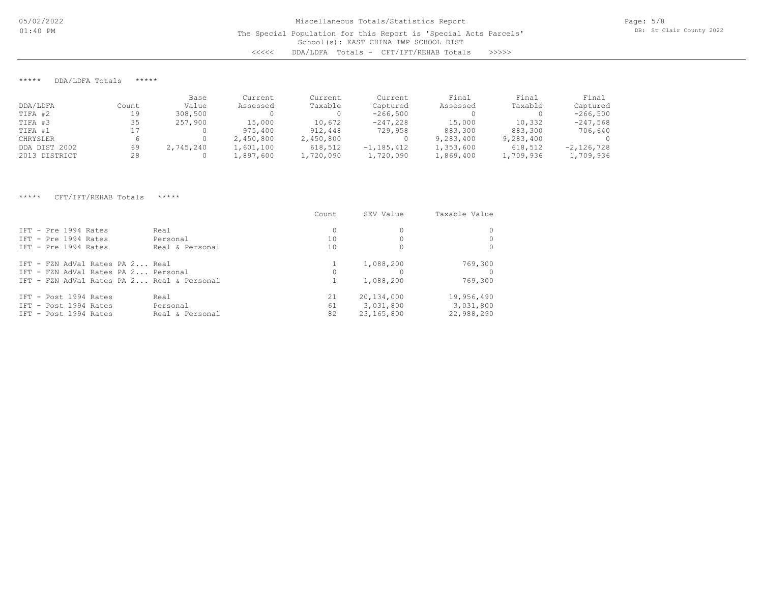\*\*\*\*\* DDA/LDFA Totals \*\*\*\*\*

|               |       | Base      | Current   | Current   | Current        | Final     | Final     | Final        |
|---------------|-------|-----------|-----------|-----------|----------------|-----------|-----------|--------------|
| DDA/LDFA      | Count | Value     | Assessed  | Taxable   | Captured       | Assessed  | Taxable   | Captured     |
| TIFA #2       | 19    | 308,500   |           |           | $-266,500$     |           |           | $-266,500$   |
| TIFA #3       | 35    | 257,900   | 15,000    | 10,672    | $-247,228$     | 15,000    | 10,332    | $-247,568$   |
| TIFA #1       |       |           | 975,400   | 912,448   | 729,958        | 883,300   | 883,300   | 706,640      |
| CHRYSLER      |       |           | 2,450,800 | 2,450,800 |                | 9,283,400 | 9,283,400 |              |
| DDA DIST 2002 | 69    | 2,745,240 | 1,601,100 | 618,512   | $-1, 185, 412$ | 1,353,600 | 618,512   | $-2,126,728$ |
| 2013 DISTRICT | 28    |           | 1,897,600 | 1,720,090 | 1,720,090      | 1,869,400 | 1,709,936 | 1,709,936    |

#### \*\*\*\*\* CFT/IFT/REHAB Totals \*\*\*\*\*

|                                                                                                                      |                                     | Count                | SEV Value                             | Taxable Value                         |
|----------------------------------------------------------------------------------------------------------------------|-------------------------------------|----------------------|---------------------------------------|---------------------------------------|
| TFT - Pre 1994 Rates<br>IFT - Pre 1994 Rates<br>TFT - Pre 1994 Rates                                                 | Real<br>Personal<br>Real & Personal | $\Omega$<br>10<br>10 |                                       |                                       |
| IFT - FZN AdVal Rates PA 2 Real<br>IFT - FZN AdVal Rates PA 2 Personal<br>TFT - FZN AdVal Rates PA 2 Real & Personal |                                     |                      | 1,088,200<br>1,088,200                | 769,300<br>769,300                    |
| IFT - Post 1994 Rates<br>IFT - Post 1994 Rates<br>IFT - Post 1994 Rates                                              | Real<br>Personal<br>Real & Personal | 21<br>61<br>82       | 20,134,000<br>3,031,800<br>23,165,800 | 19,956,490<br>3,031,800<br>22,988,290 |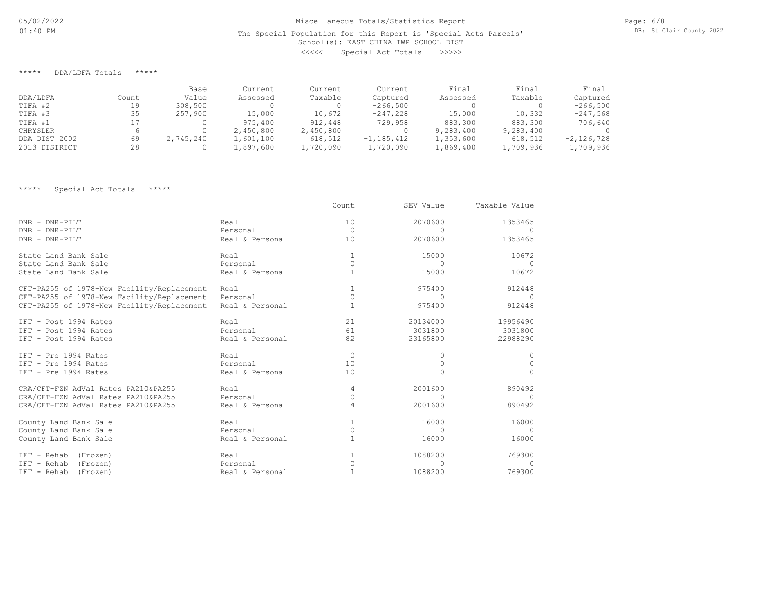# School(s): EAST CHINA TWP SCHOOL DIST Miscellaneous Totals/Statistics Report The Special Population for this Report is 'Special Acts Parcels' <<<<< Special Act Totals >>>>>

\*\*\*\*\* DDA/LDFA Totals \*\*\*\*\*

|               |       | Base      | Current   | Current   | Current        | Final     | Final     | Final        |
|---------------|-------|-----------|-----------|-----------|----------------|-----------|-----------|--------------|
| DDA/LDFA      | Count | Value     | Assessed  | Taxable   | Captured       | Assessed  | Taxable   | Captured     |
| TIFA #2       | 19    | 308,500   |           | 0         | $-266,500$     |           |           | $-266,500$   |
| TIFA #3       | 35    | 257,900   | 15,000    | 10,672    | $-247,228$     | 15,000    | 10,332    | $-247,568$   |
| TIFA #1       |       |           | 975,400   | 912,448   | 729,958        | 883,300   | 883,300   | 706,640      |
| CHRYSLER      |       |           | 2,450,800 | 2,450,800 |                | 9,283,400 | 9,283,400 |              |
| DDA DIST 2002 | 69    | 2,745,240 | 1,601,100 | 618,512   | $-1, 185, 412$ | 1,353,600 | 618,512   | $-2,126,728$ |
| 2013 DISTRICT | 28    |           | 1,897,600 | 1,720,090 | 1,720,090      | 1,869,400 | 1,709,936 | 1,709,936    |

\*\*\*\*\* Special Act Totals \*\*\*\*\*

|                                            |                 | Count        | SEV Value | Taxable Value |
|--------------------------------------------|-----------------|--------------|-----------|---------------|
| DNR - DNR-PILT                             | Real            | 10           | 2070600   | 1353465       |
| DNR - DNR-PILT                             | Personal        | $\mathbf{0}$ | $\Omega$  | $\Omega$      |
| DNR - DNR-PILT                             | Real & Personal | 10           | 2070600   | 1353465       |
| State Land Bank Sale                       | Real            | $\mathbf{1}$ | 15000     | 10672         |
| State Land Bank Sale                       | Personal        | 0            | $\Omega$  | $\Omega$      |
| State Land Bank Sale                       | Real & Personal | $\mathbf{1}$ | 15000     | 10672         |
| CFT-PA255 of 1978-New Facility/Replacement | Real            |              | 975400    | 912448        |
| CFT-PA255 of 1978-New Facility/Replacement | Personal        | $\Omega$     | $\bigcap$ | $\Omega$      |
| CFT-PA255 of 1978-New Facility/Replacement | Real & Personal |              | 975400    | 912448        |
| IFT - Post 1994 Rates                      | Real            | 21           | 20134000  | 19956490      |
| IFT - Post 1994 Rates                      | Personal        | 61           | 3031800   | 3031800       |
| IFT - Post 1994 Rates                      | Real & Personal | 82           | 23165800  | 22988290      |
| IFT - Pre 1994 Rates                       | Real            | $\circ$      | 0         | 0             |
| IFT - Pre 1994 Rates                       | Personal        | 10           | $\Omega$  | $\Omega$      |
| IFT - Pre 1994 Rates                       | Real & Personal | 10           | $\Omega$  | $\Omega$      |
| CRA/CFT-FZN AdVal Rates PA210&PA255        | Real            | 4            | 2001600   | 890492        |
| CRA/CFT-FZN AdVal Rates PA210&PA255        | Personal        | $\Omega$     | $\Omega$  |               |
| CRA/CFT-FZN AdVal Rates PA210&PA255        | Real & Personal | 4            | 2001600   | 890492        |
| County Land Bank Sale                      | Real            |              | 16000     | 16000         |
| County Land Bank Sale                      | Personal        | 0            | $\Omega$  | $\Omega$      |
| County Land Bank Sale                      | Real & Personal |              | 16000     | 16000         |
| IFT - Rehab (Frozen)                       | Real            |              | 1088200   | 769300        |
| IFT - Rehab<br>(Frozen)                    | Personal        | $\Omega$     | $\cup$    | $\bigcap$     |
| $IFT - Rehab$<br>(Frozen)                  | Real & Personal |              | 1088200   | 769300        |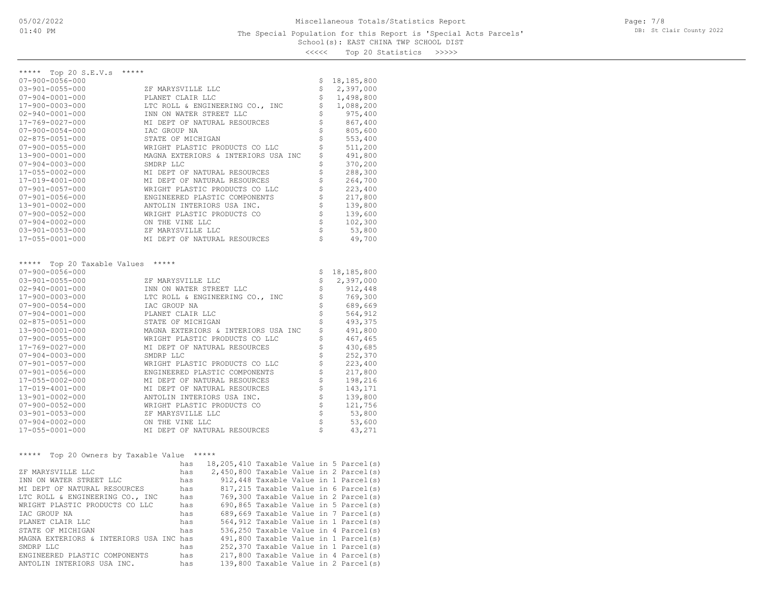## School(s): EAST CHINA TWP SCHOOL DIST The Special Population for this Report is 'Special Acts Parcels'

Page: 7/8 DB: St Clair County 2022

<<<<< Top 20 Statistics >>>>>

| *****<br>Top $20$ S.E.V.s                  |                                                 |                          |                  |
|--------------------------------------------|-------------------------------------------------|--------------------------|------------------|
| $07 - 900 - 0056 - 000$                    |                                                 | \$                       | 18,185,800       |
| $03 - 901 - 0055 - 000$                    | ZF MARYSVILLE LLC                               | \$                       | 2,397,000        |
| $07 - 904 - 0001 - 000$                    | PLANET CLAIR LLC                                | \$                       | 1,498,800        |
| 17-900-0003-000                            | LTC ROLL & ENGINEERING CO., INC                 | \$                       | 1,088,200        |
| $02 - 940 - 0001 - 000$                    | INN ON WATER STREET LLC                         | \$                       | 975,400          |
| 17-769-0027-000                            | MI DEPT OF NATURAL RESOURCES                    | \$                       | 867,400          |
| $07 - 900 - 0054 - 000$                    | IAC GROUP NA                                    | \$                       | 805,600          |
| $02 - 875 - 0051 - 000$                    | STATE OF MICHIGAN                               |                          | 553,400          |
| $07 - 900 - 0055 - 000$                    | WRIGHT PLASTIC PRODUCTS CO LLC                  | \$                       | 511,200          |
| $13 - 900 - 0001 - 000$                    | MAGNA EXTERIORS & INTERIORS USA INC             | \$                       | 491,800          |
| $07 - 904 - 0003 - 000$                    | SMDRP LLC                                       | \$                       | 370,200          |
| 17-055-0002-000                            | MI DEPT OF NATURAL RESOURCES                    | \$                       | 288,300          |
| 17-019-4001-000                            | MI DEPT OF NATURAL RESOURCES                    | \$                       | 264,700          |
| $07 - 901 - 0057 - 000$                    | WRIGHT PLASTIC PRODUCTS CO LLC                  | \$                       | 223,400          |
| $07 - 901 - 0056 - 000$                    | ENGINEERED PLASTIC COMPONENTS                   | \$                       | 217,800          |
| 13-901-0002-000                            | ANTOLIN INTERIORS USA INC.                      | $\dot{\hat{\mathsf{s}}}$ | 139,800          |
| $07 - 900 - 0052 - 000$                    | WRIGHT PLASTIC PRODUCTS CO                      | \$                       | 139,600          |
| $07 - 904 - 0002 - 000$                    | ON THE VINE LLC                                 | \$                       | 102,300          |
| $03 - 901 - 0053 - 000$                    | ZF MARYSVILLE LLC                               | \$                       | 53,800           |
| 17-055-0001-000                            | MI DEPT OF NATURAL RESOURCES                    | Ś                        | 49,700           |
|                                            |                                                 |                          |                  |
| *****<br>Top 20 Taxable Values             | *****                                           |                          |                  |
| $07 - 900 - 0056 - 000$                    |                                                 | \$                       | 18,185,800       |
| $03 - 901 - 0055 - 000$                    | ZF MARYSVILLE LLC                               | \$                       | 2,397,000        |
| $02 - 940 - 0001 - 000$                    | INN ON WATER STREET LLC                         | \$                       | 912,448          |
| 17-900-0003-000                            | LTC ROLL & ENGINEERING CO., INC                 | \$                       | 769,300          |
| $07 - 900 - 0054 - 000$                    | IAC GROUP NA                                    | \$                       | 689,669          |
| $07 - 904 - 0001 - 000$                    | PLANET CLAIR LLC                                |                          |                  |
| $02 - 875 - 0051 - 000$                    |                                                 |                          | 564,912          |
|                                            | STATE OF MICHIGAN                               | \$                       | 493,375          |
| 13-900-0001-000                            | MAGNA EXTERIORS & INTERIORS USA INC             | \$                       | 491,800          |
| $07 - 900 - 0055 - 000$                    | WRIGHT PLASTIC PRODUCTS CO LLC                  | \$                       | 467,465          |
| 17-769-0027-000                            | MI DEPT OF NATURAL RESOURCES                    | \$                       | 430,685          |
| $07 - 904 - 0003 - 000$                    | SMDRP LLC                                       | \$                       | 252,370          |
| $07 - 901 - 0057 - 000$                    | WRIGHT PLASTIC PRODUCTS CO LLC                  | \$                       | 223,400          |
| $07 - 901 - 0056 - 000$                    | ENGINEERED PLASTIC COMPONENTS                   | \$                       | 217,800          |
| 17-055-0002-000                            | MI DEPT OF NATURAL RESOURCES                    | \$                       | 198,216          |
| 17-019-4001-000                            | MI DEPT OF NATURAL RESOURCES                    |                          | 143,171          |
| 13-901-0002-000                            | ANTOLIN INTERIORS USA INC.                      | \$                       | 139,800          |
| $07 - 900 - 0052 - 000$                    | WRIGHT PLASTIC PRODUCTS CO                      | \$                       | 121,756          |
| $03 - 901 - 0053 - 000$                    | ZF MARYSVILLE LLC                               | \$                       | 53,800           |
| $07 - 904 - 0002 - 000$<br>17-055-0001-000 | ON THE VINE LLC<br>MI DEPT OF NATURAL RESOURCES | \$<br>Ś                  | 53,600<br>43,271 |

## \*\*\*\*\* Top 20 Owners by Taxable Value \*\*\*\*\*

|                                         | has | 18,205,410 Taxable Value in 5 Parcel(s) |  |                                      |
|-----------------------------------------|-----|-----------------------------------------|--|--------------------------------------|
| ZF MARYSVILLE LLC                       | has | 2,450,800 Taxable Value in 2 Parcel(s)  |  |                                      |
| INN ON WATER STREET LLC                 | has |                                         |  | 912,448 Taxable Value in 1 Parcel(s) |
| MI DEPT OF NATURAL RESOURCES            | has |                                         |  | 817,215 Taxable Value in 6 Parcel(s) |
| LTC ROLL & ENGINEERING CO., INC         | has |                                         |  | 769,300 Taxable Value in 2 Parcel(s) |
| WRIGHT PLASTIC PRODUCTS CO LLC          | has |                                         |  | 690,865 Taxable Value in 5 Parcel(s) |
| TAC GROUP NA                            | has |                                         |  | 689,669 Taxable Value in 7 Parcel(s) |
| PLANET CLAIR LLC                        | has |                                         |  | 564,912 Taxable Value in 1 Parcel(s) |
| STATE OF MICHIGAN                       | has |                                         |  | 536,250 Taxable Value in 4 Parcel(s) |
| MAGNA EXTERIORS & INTERIORS USA INC has |     |                                         |  | 491,800 Taxable Value in 1 Parcel(s) |
| SMDRP LLC                               | has |                                         |  | 252,370 Taxable Value in 1 Parcel(s) |
| ENGINEERED PLASTIC COMPONENTS           | has |                                         |  | 217,800 Taxable Value in 4 Parcel(s) |
| ANTOLIN INTERIORS USA INC.              | has |                                         |  | 139,800 Taxable Value in 2 Parcel(s) |